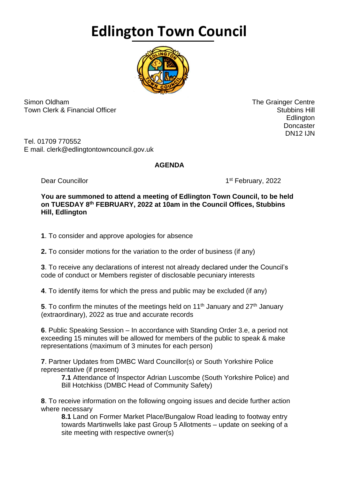## **Edlington Town Council**



Simon Oldham The Grainger Centre Town Clerk & Financial Officer Stubbins Hill and Stubbins Hill and Stubbins Hill and Stubbins Hill and Stubbins Hill

en de la construction de la construction de la construction de la construction de la construction de la constr **Doncaster** DN12 IJN

Tel. 01709 770552 E mail. clerk@edlingtontowncouncil.gov.uk

## **AGENDA**

Dear Councillor

1st February, 2022

## **You are summoned to attend a meeting of Edlington Town Council, to be held on TUESDAY 8 th FEBRUARY, 2022 at 10am in the Council Offices, Stubbins Hill, Edlington**

**1**. To consider and approve apologies for absence

**2.** To consider motions for the variation to the order of business (if any)

**3**. To receive any declarations of interest not already declared under the Council's code of conduct or Members register of disclosable pecuniary interests

**4**. To identify items for which the press and public may be excluded (if any)

**5**. To confirm the minutes of the meetings held on 11<sup>th</sup> January and 27<sup>th</sup> January (extraordinary), 2022 as true and accurate records

**6**. Public Speaking Session – In accordance with Standing Order 3.e, a period not exceeding 15 minutes will be allowed for members of the public to speak & make representations (maximum of 3 minutes for each person)

**7**. Partner Updates from DMBC Ward Councillor(s) or South Yorkshire Police representative (if present)

**7.1** Attendance of Inspector Adrian Luscombe (South Yorkshire Police) and Bill Hotchkiss (DMBC Head of Community Safety)

**8**. To receive information on the following ongoing issues and decide further action where necessary

**8.1** Land on Former Market Place/Bungalow Road leading to footway entry towards Martinwells lake past Group 5 Allotments – update on seeking of a site meeting with respective owner(s)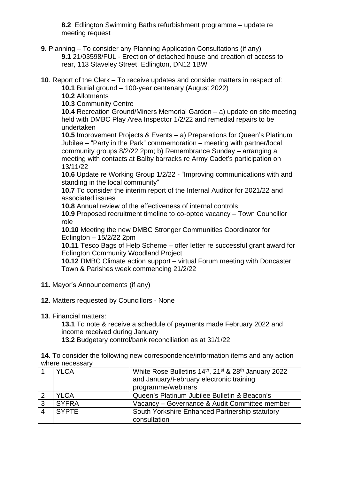**8.2** Edlington Swimming Baths refurbishment programme – update re meeting request

**9.** Planning – To consider any Planning Application Consultations (if any) **9.1** 21/03598/FUL - Erection of detached house and creation of access to rear, 113 Staveley Street, Edlington, DN12 1BW

**10**. Report of the Clerk – To receive updates and consider matters in respect of:

**10.1** Burial ground – 100-year centenary (August 2022)

**10.2** Allotments

**10.3** Community Centre

**10.4** Recreation Ground/Miners Memorial Garden – a) update on site meeting held with DMBC Play Area Inspector 1/2/22 and remedial repairs to be undertaken

**10.5** Improvement Projects & Events – a) Preparations for Queen's Platinum Jubilee – "Party in the Park" commemoration – meeting with partner/local community groups 8/2/22 2pm; b) Remembrance Sunday – arranging a meeting with contacts at Balby barracks re Army Cadet's participation on 13/11/22

**10.6** Update re Working Group 1/2/22 - "Improving communications with and standing in the local community"

**10.7** To consider the interim report of the Internal Auditor for 2021/22 and associated issues

**10.8** Annual review of the effectiveness of internal controls

**10.9** Proposed recruitment timeline to co-optee vacancy – Town Councillor role

**10.10** Meeting the new DMBC Stronger Communities Coordinator for Edlington – 15/2/22 2pm

**10.11** Tesco Bags of Help Scheme – offer letter re successful grant award for Edlington Community Woodland Project

**10.12** DMBC Climate action support – virtual Forum meeting with Doncaster Town & Parishes week commencing 21/2/22

- **11**. Mayor's Announcements (if any)
- **12**. Matters requested by Councillors None
- **13**. Financial matters:

**13.1** To note & receive a schedule of payments made February 2022 and income received during January **13.2** Budgetary control/bank reconciliation as at 31/1/22

**14**. To consider the following new correspondence/information items and any action where necessary

|                | <b>YLCA</b>  | White Rose Bulletins 14th, 21 <sup>st</sup> & 28 <sup>th</sup> January 2022<br>and January/February electronic training<br>programme/webinars |
|----------------|--------------|-----------------------------------------------------------------------------------------------------------------------------------------------|
| $\overline{2}$ | <b>YLCA</b>  | Queen's Platinum Jubilee Bulletin & Beacon's                                                                                                  |
| $\sqrt{3}$     | <b>SYFRA</b> | Vacancy - Governance & Audit Committee member                                                                                                 |
| $\overline{4}$ | <b>SYPTE</b> | South Yorkshire Enhanced Partnership statutory<br>consultation                                                                                |